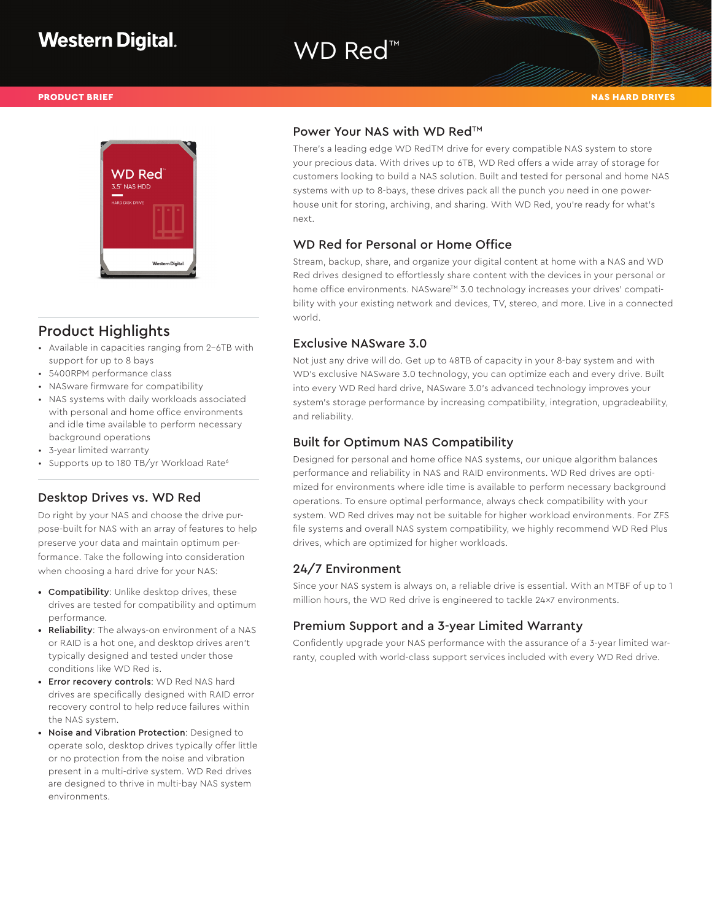# WD Red™



## Product Highlights

- Available in capacities ranging from 2-6TB with support for up to 8 bays
- 5400RPM performance class
- NASware firmware for compatibility
- NAS systems with daily workloads associated with personal and home office environments and idle time available to perform necessary background operations
- 3-year limited warranty
- Supports up to 180 TB/yr Workload Rate<sup>6</sup>

#### Desktop Drives vs. WD Red

Do right by your NAS and choose the drive purpose-built for NAS with an array of features to help preserve your data and maintain optimum performance. Take the following into consideration when choosing a hard drive for your NAS:

- Compatibility: Unlike desktop drives, these drives are tested for compatibility and optimum performance.
- Reliability: The always-on environment of a NAS or RAID is a hot one, and desktop drives aren't typically designed and tested under those conditions like WD Red is.
- Error recovery controls: WD Red NAS hard drives are specifically designed with RAID error recovery control to help reduce failures within the NAS system.
- Noise and Vibration Protection: Designed to operate solo, desktop drives typically offer little or no protection from the noise and vibration present in a multi-drive system. WD Red drives are designed to thrive in multi-bay NAS system environments.

#### Power Your NAS with WD Red™

There's a leading edge WD RedTM drive for every compatible NAS system to store your precious data. With drives up to 6TB, WD Red offers a wide array of storage for customers looking to build a NAS solution. Built and tested for personal and home NAS systems with up to 8-bays, these drives pack all the punch you need in one powerhouse unit for storing, archiving, and sharing. With WD Red, you're ready for what's next.

### WD Red for Personal or Home Office

Stream, backup, share, and organize your digital content at home with a NAS and WD Red drives designed to effortlessly share content with the devices in your personal or home office environments. NASware™ 3.0 technology increases your drives' compatibility with your existing network and devices, TV, stereo, and more. Live in a connected world.

### Exclusive NASware 3.0

Not just any drive will do. Get up to 48TB of capacity in your 8-bay system and with WD's exclusive NASware 3.0 technology, you can optimize each and every drive. Built into every WD Red hard drive, NASware 3.0's advanced technology improves your system's storage performance by increasing compatibility, integration, upgradeability, and reliability.

### Built for Optimum NAS Compatibility

Designed for personal and home office NAS systems, our unique algorithm balances performance and reliability in NAS and RAID environments. WD Red drives are optimized for environments where idle time is available to perform necessary background operations. To ensure optimal performance, always check compatibility with your system. WD Red drives may not be suitable for higher workload environments. For ZFS file systems and overall NAS system compatibility, we highly recommend WD Red Plus drives, which are optimized for higher workloads.

#### 24/7 Environment

Since your NAS system is always on, a reliable drive is essential. With an MTBF of up to 1 million hours, the WD Red drive is engineered to tackle 24x7 environments.

#### Premium Support and a 3-year Limited Warranty

Confidently upgrade your NAS performance with the assurance of a 3-year limited warranty, coupled with world-class support services included with every WD Red drive.